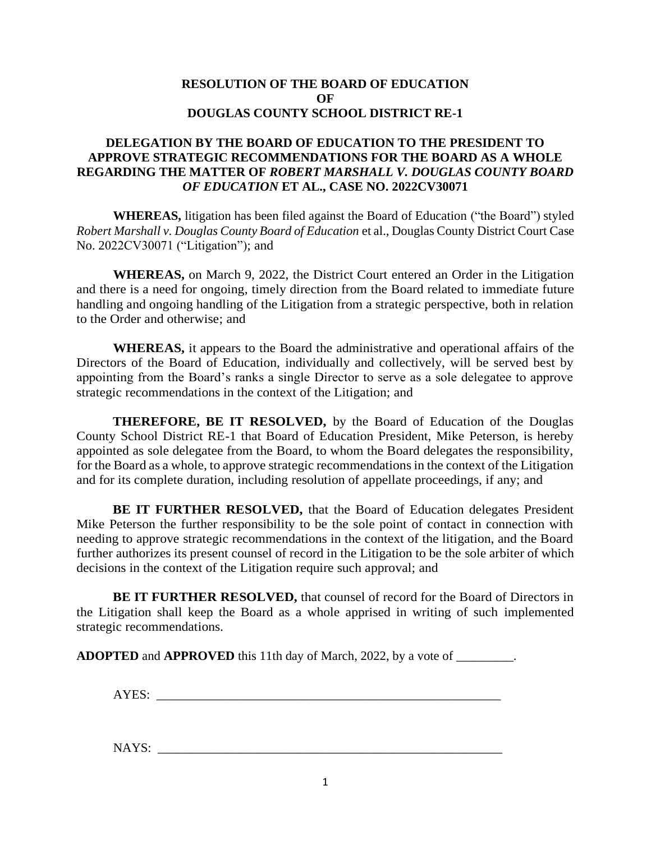## **RESOLUTION OF THE BOARD OF EDUCATION OF DOUGLAS COUNTY SCHOOL DISTRICT RE-1**

## **DELEGATION BY THE BOARD OF EDUCATION TO THE PRESIDENT TO APPROVE STRATEGIC RECOMMENDATIONS FOR THE BOARD AS A WHOLE REGARDING THE MATTER OF** *ROBERT MARSHALL V. DOUGLAS COUNTY BOARD OF EDUCATION* **ET AL., CASE NO. 2022CV30071**

**WHEREAS,** litigation has been filed against the Board of Education ("the Board") styled *Robert Marshall v. Douglas County Board of Education* et al., Douglas County District Court Case No. 2022CV30071 ("Litigation"); and

**WHEREAS,** on March 9, 2022, the District Court entered an Order in the Litigation and there is a need for ongoing, timely direction from the Board related to immediate future handling and ongoing handling of the Litigation from a strategic perspective, both in relation to the Order and otherwise; and

**WHEREAS,** it appears to the Board the administrative and operational affairs of the Directors of the Board of Education, individually and collectively, will be served best by appointing from the Board's ranks a single Director to serve as a sole delegatee to approve strategic recommendations in the context of the Litigation; and

**THEREFORE, BE IT RESOLVED,** by the Board of Education of the Douglas County School District RE-1 that Board of Education President, Mike Peterson, is hereby appointed as sole delegatee from the Board, to whom the Board delegates the responsibility, for the Board as a whole, to approve strategic recommendations in the context of the Litigation and for its complete duration, including resolution of appellate proceedings, if any; and

**BE IT FURTHER RESOLVED,** that the Board of Education delegates President Mike Peterson the further responsibility to be the sole point of contact in connection with needing to approve strategic recommendations in the context of the litigation, and the Board further authorizes its present counsel of record in the Litigation to be the sole arbiter of which decisions in the context of the Litigation require such approval; and

**BE IT FURTHER RESOLVED,** that counsel of record for the Board of Directors in the Litigation shall keep the Board as a whole apprised in writing of such implemented strategic recommendations.

**ADOPTED** and **APPROVED** this 11th day of March, 2022, by a vote of \_\_\_\_\_\_\_\_\_.

AYES: \_\_\_\_\_\_\_\_\_\_\_\_\_\_\_\_\_\_\_\_\_\_\_\_\_\_\_\_\_\_\_\_\_\_\_\_\_\_\_\_\_\_\_\_\_\_\_\_\_\_\_\_\_\_

NAYS: